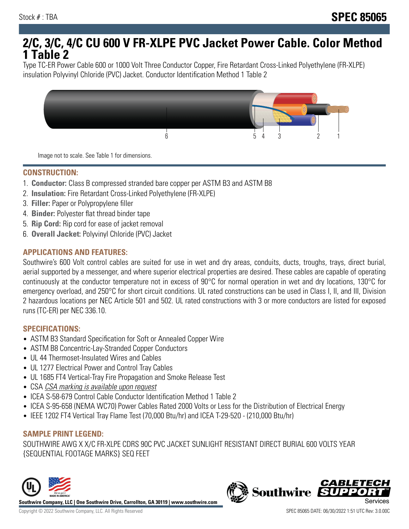# **2/C, 3/C, 4/C CU 600 V FR-XLPE PVC Jacket Power Cable. Color Method 1 Table 2**

Type TC-ER Power Cable 600 or 1000 Volt Three Conductor Copper, Fire Retardant Cross-Linked Polyethylene (FR-XLPE) insulation Polyvinyl Chloride (PVC) Jacket. Conductor Identification Method 1 Table 2



Image not to scale. See Table 1 for dimensions.

#### **CONSTRUCTION:**

- 1. **Conductor:** Class B compressed stranded bare copper per ASTM B3 and ASTM B8
- 2. **Insulation:** Fire Retardant Cross-Linked Polyethylene (FR-XLPE)
- 3. **Filler:** Paper or Polypropylene filler
- 4. **Binder:** Polyester flat thread binder tape
- 5. **Rip Cord:** Rip cord for ease of jacket removal
- 6. **Overall Jacket:** Polyvinyl Chloride (PVC) Jacket

### **APPLICATIONS AND FEATURES:**

Southwire's 600 Volt control cables are suited for use in wet and dry areas, conduits, ducts, troughs, trays, direct burial, aerial supported by a messenger, and where superior electrical properties are desired. These cables are capable of operating continuously at the conductor temperature not in excess of 90°C for normal operation in wet and dry locations, 130°C for emergency overload, and 250°C for short circuit conditions. UL rated constructions can be used in Class I, II, and III, Division 2 hazardous locations per NEC Article 501 and 502. UL rated constructions with 3 or more conductors are listed for exposed runs (TC-ER) per NEC 336.10.

#### **SPECIFICATIONS:**

- ASTM B3 Standard Specification for Soft or Annealed Copper Wire
- ASTM B8 Concentric-Lay-Stranded Copper Conductors
- UL 44 Thermoset-Insulated Wires and Cables
- UL 1277 Electrical Power and Control Tray Cables
- UL 1685 FT4 Vertical-Tray Fire Propagation and Smoke Release Test
- CSA CSA marking is available upon request
- ICEA S-58-679 Control Cable Conductor Identification Method 1 Table 2
- ICEA S-95-658 (NEMA WC70) Power Cables Rated 2000 Volts or Less for the Distribution of Electrical Energy
- IEEE 1202 FT4 Vertical Tray Flame Test (70,000 Btu/hr) and ICEA T-29-520 (210,000 Btu/hr)

## **SAMPLE PRINT LEGEND:**

SOUTHWIRE AWG X X/C FR-XLPE CDRS 90C PVC JACKET SUNLIGHT RESISTANT DIRECT BURIAL 600 VOLTS YEAR {SEQUENTIAL FOOTAGE MARKS} SEQ FEET